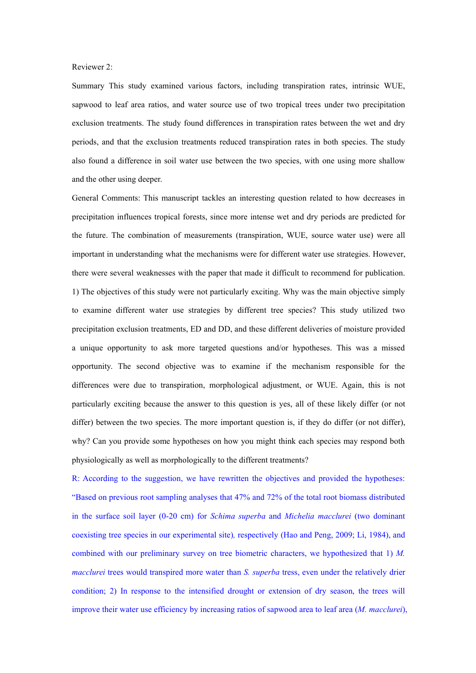### Reviewer 2:

Summary This study examined various factors, including transpiration rates, intrinsic WUE, sapwood to leaf area ratios, and water source use of two tropical trees under two precipitation exclusion treatments. The study found differences in transpiration rates between the wet and dry periods, and that the exclusion treatments reduced transpiration rates in both species. The study also found a difference in soil water use between the two species, with one using more shallow and the other using deeper.

General Comments: This manuscript tackles an interesting question related to how decreases in precipitation influences tropical forests, since more intense wet and dry periods are predicted for the future. The combination of measurements (transpiration, WUE, source water use) were all important in understanding what the mechanisms were for different water use strategies. However, there were severalweaknesses with the paper that made it difficult to recommend for publication. 1) The objectives of this study were not particularly exciting. Why was the main objective simply to examine different water use strategies by different tree species? This study utilized two precipitation exclusion treatments, ED and DD, and these different deliveries of moisture provided a unique opportunity to ask more targeted questions and/or hypotheses. This was a missed opportunity. The second objective was to examine if the mechanism responsible for the differences were due to transpiration, morphological adjustment, or WUE. Again, this is not particularly exciting because the answer to this question is yes, all of these likely differ (or not differ) between the two species. The more important question is, if they do differ (or not differ), why? Can you provide some hypotheses on how you might think each species may respond both physiologically as well as morphologically to the different treatments?

R: According to the suggestion, we have rewritten the objectives and provided the hypotheses: "Based on previous root sampling analyses that 47% and 72% of the total root biomass distributed in the surface soil layer (0-20 cm) for *Schima superba* and *Michelia macclurei* (two dominant coexisting tree species in our experimental site)*,* respectively (Hao and Peng, 2009; Li, 1984), and combined with our preliminary survey on tree biometric characters, we hypothesized that 1)*M. macclurei* trees would transpired more water than *S. superba* tress, even under the relatively drier condition; 2) In response to the intensified drought or extension of dry season, the trees will improve their water use efficiency by increasing ratios of sapwood area to leaf area (*M. macclurei*),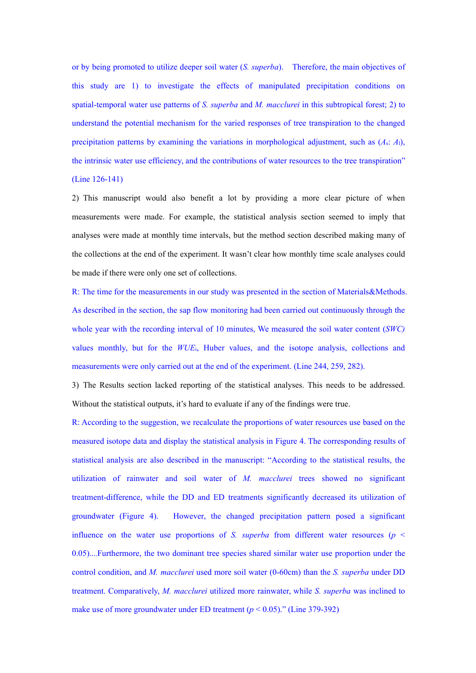or by being promoted to utilize deeper soil water (*S. superba*). Therefore, the main objectives of this study are 1) to investigate the effects of manipulated precipitation conditions on spatial-temporal water use patterns of *S. superba* and *M. macclurei* in this subtropical forest; 2) to understand the potential mechanism for the varied responses of tree transpiration to the changed precipitation patterns by examining the variations in morphological adjustment, such as  $(A_s: A_l)$ , the intrinsic water use efficiency, and the contributions of water resources to the tree transpiration" (Line 126-141)

2) This manuscript would also benefit a lot by providing a more clear picture of when measurements were made. For example, the statistical analysis section seemed to imply that analyses were made at monthly time intervals, but the method section described making many of the collections at the end of the experiment. It wasn't clear how monthly time scale analyses could be made if there were only one set of collections.

R: The time for the measurements in our study was presented in the section of Materials&Methods. As described in the section, the sap flow monitoring had been carried out continuously through the whole year with the recording interval of 10 minutes, We measured the soil water content (*SWC)* values monthly, but for the *WUE*i, Huber values, and the isotope analysis, collections and measurements were only carried out at the end of the experiment. (Line 244, 259, 282).

3) The Results section lacked reporting of the statistical analyses. This needs to be addressed. Without the statistical outputs, it's hard to evaluate if any of the findings were true.

R: According to the suggestion, we recalculate the proportions of water resources use based on the measured isotope data and display the statistical analysis in Figure 4. The corresponding results of statistical analysis are also described in the manuscript: "According to the statistical results, the utilization of rainwater and soil water of *M. macclurei* trees showed no significant treatment-difference, while the DD and ED treatments significantly decreased its utilization of groundwater (Figure 4). However, the changed precipitation pattern posed asignificant influence on the water use proportions of *S. superba* from different water resources ( $p <$ 0.05)....Furthermore, the two dominant tree species shared similar water use proportion under the control condition, and *M. macclurei* used more soil water (0-60cm) than the *S. superba* under DD treatment. Comparatively, *M. macclurei* utilized more rainwater, while *S. superba* was inclined to make use of more groundwater under ED treatment  $(p < 0.05)$ ." (Line 379-392)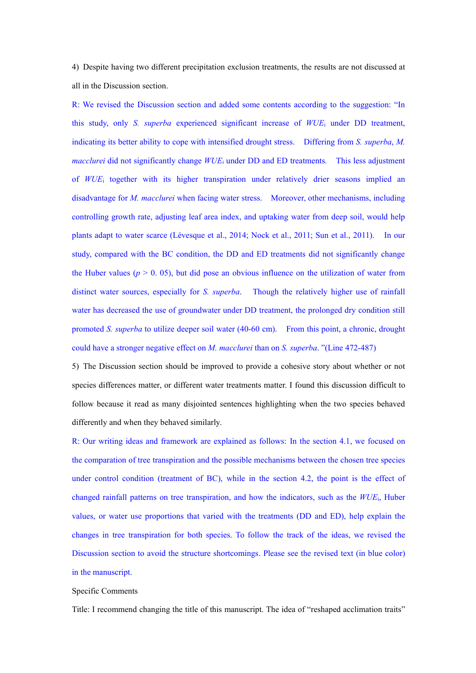4) Despite having two different precipitation exclusion treatments, the results are not discussed at all in the Discussion section.

R: We revised the Discussion section and added some contents according to the suggestion: "In this study, only *S. superba* experienced significant increase of *WUE*<sup>i</sup> under DD treatment, indicating its better ability to cope with intensified drought stress. Differing from *S. superba*, *M. macclurei* did not significantly change *WUE*<sup>i</sup> under DD and ED treatments*.* This less adjustment of *WUE*<sup>i</sup> together with its higher transpiration under relatively drier seasons implied an disadvantage for *M. macclurei* when facing water stress. Moreover, other mechanisms, including controlling growth rate, adjusting leaf area index, and uptaking water from deep soil, would help plants adapt to water scarce (Lévesque et al., 2014; Nock et al., 2011; Sun et al., 2011). In our study, compared with the BC condition, the DD and ED treatments did not significantly change the Huber values  $(p > 0.05)$ , but did pose an obvious influence on the utilization of water from distinct water sources, especially for *S. superba*. Though the relatively higher use of rainfall water has decreased the use of groundwater under DD treatment, the prolonged dry condition still promoted *S. superba* to utilize deeper soil water (40-60 cm). From this point,a chronic, drought could have a stronger negative effect on *M. macclurei* than on *S. superba*."(Line 472-487)

5) The Discussion section should be improved to provide a cohesive story about whether or not species differences matter, or different water treatments matter. I found this discussion difficult to follow because it read as many disjointed sentences highlighting when the two species behaved differently and when they behaved similarly.

R: Our writing ideas and framework are explained as follows: In the section 4.1, we focused on the comparation of tree transpiration and the possible mechanisms between the chosen tree species under control condition (treatment of BC), while in the section 4.2, the point is the effect of changed rainfall patterns on tree transpiration, and how the indicators, such as the *WUE*i, Huber values, or water use proportions that varied with the treatments (DD and ED), help explain the changes in tree transpiration for both species. To follow the track of the ideas, we revised the Discussion section to avoid the structure shortcomings. Please see the revised text (in blue color) in the manuscript.

#### Specific Comments

Title: I recommend changing the title of this manuscript. The idea of "reshaped acclimation traits"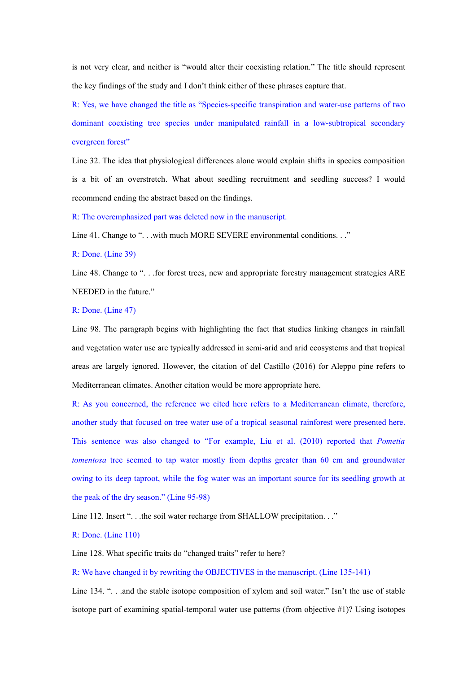is not very clear, and neither is "would alter their coexisting relation." The title should represent the key findings of the study and I don't think either of these phrases capture that.

R: Yes, we have changed the title as "Species-specific transpiration and water-use patterns of two dominant coexisting tree species under manipulated rainfall in a low-subtropical secondary evergreen forest"

Line 32. The idea that physiological differences alone would explain shifts in species composition is a bit of an overstretch. What about seedling recruitment and seedling success? I would recommend ending the abstract based on the findings.

R: The overemphasized part was deleted now in the manuscript.

Line 41. Change to "... with much MORE SEVERE environmental conditions..."

R: Done. (Line 39)

Line 48. Change to "... for forest trees, new and appropriate forestry management strategies ARE NEEDED in the future."

# R: Done. (Line 47)

Line 98. The paragraph begins with highlighting the fact that studies linking changes in rainfall and vegetation water use are typically addressed in semi-arid and arid ecosystems and that tropical areas are largely ignored. However, the citation of del Castillo (2016) for Aleppo pine refers to Mediterranean climates. Another citation would be more appropriate here.

R: As you concerned, the reference we cited here refers to a Mediterranean climate, therefore, another study that focused on tree water use of a tropical seasonal rainforest were presented here. This sentence was also changed to "For example, Liu et al. (2010) reported that *Pometia tomentosa* tree seemed to tap water mostly from depths greater than 60 cm and groundwater owing to its deep taproot, while the fog water was an important source for its seedling growth at the peak of the dry season." (Line 95-98)

Line 112. Insert "... the soil water recharge from SHALLOW precipitation..."

R: Done. (Line 110)

Line 128. What specific traits do "changed traits" refer to here?

R: We have changed it by rewriting the OBJECTIVES inthe manuscript. (Line 135-141)

Line 134. "... and the stable isotope composition of xylem and soil water." Isn't the use of stable isotope part of examining spatial-temporal water use patterns (from objective #1)? Using isotopes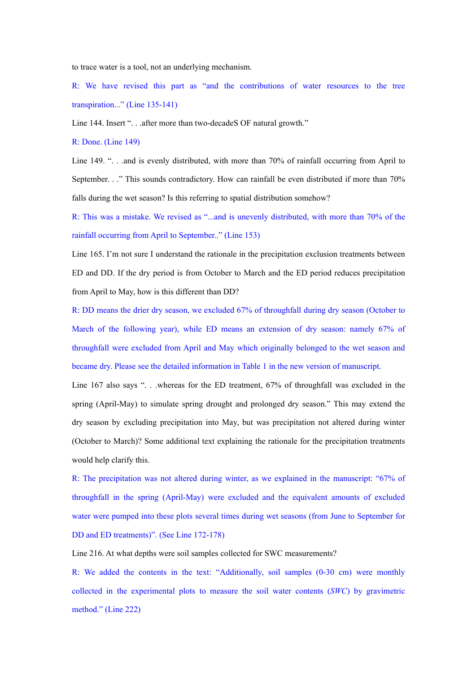to trace water is a tool, not an underlying mechanism.

R: We have revised this part as "and the contributions of water resources to the tree transpiration..." (Line 135-141)

Line 144. Insert ". . .after more than two-decade SOF natural growth."

R: Done. (Line 149)

Line 149. "... and is evenly distributed, with more than 70% of rainfall occurring from April to September. . ." This sounds contradictory. How can rainfall be even distributed if more than 70% falls during the wet season? Is this referring to spatial distribution somehow?

R: This was a mistake.We revised as "...and is unevenly distributed, with more than 70% of the rainfall occurring from April to September.." (Line 153)

Line 165. I'm not sure I understand the rationale in the precipitation exclusion treatments between ED and DD. If the dry period is from October to March and the ED period reduces precipitation from April to May, how is this different than DD?

R: DD means the drier dry season, we excluded 67% of throughfall during dry season (October to March of the following year), while ED means an extension of dry season: namely 67% of throughfall were excluded from April and May which originally belonged to the wet season and became dry. Please see the detailed information in Table 1 in the new version of manuscript.

Line 167 also says "... whereas for the ED treatment, 67% of throughfall was excluded in the spring (April-May) to simulate spring drought and prolonged dry season." This may extend the dry season by excluding precipitation into May, but was precipitation not altered during winter (October to March)? Some additional text explaining the rationale for the precipitation treatments would help clarify this.

R: The precipitation was not altered during winter, as we explained in the manuscript: "67% of throughfall in the spring (April-May) were excluded and the equivalent amounts of excluded water were pumped into these plots several times during wet seasons (from June to September for DD and ED treatments)". (See Line 172-178)

Line 216. At what depths were soil samples collected for SWC measurements?

R: We added the contents in the text: "Additionally, soil samples (0-30 cm) were monthly collected in the experimental plots to measure the soil water contents (*SWC*) by gravimetric method." (Line 222)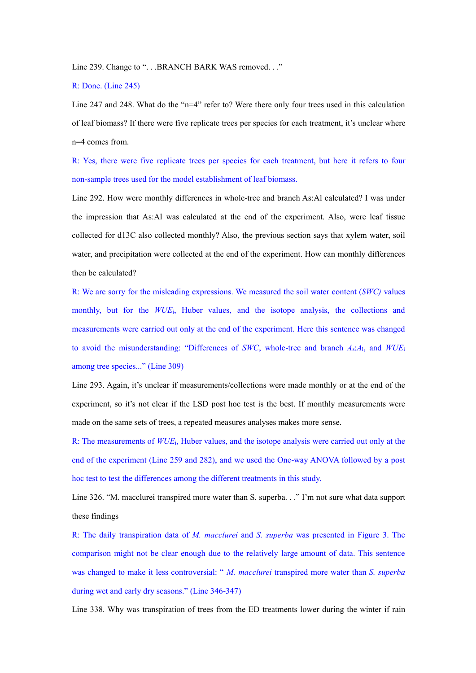Line 239. Change to ". . .BRANCH BARK WAS removed. . ."

# R: Done. (Line 245)

Line 247 and 248. What do the "n=4" refer to? Were there only four trees used in this calculation of leaf biomass? If there were five replicate trees per species for each treatment, it's unclear where n=4 comes from.

R: Yes, there were five replicate trees per species for each treatment, but here it refers to four non-sample trees used for the model establishment of leaf biomass.

Line 292. How were monthly differences in whole-tree and branch As:Al calculated? I was under the impression that As:Al was calculated at the end of the experiment. Also, were leaf tissue collected for d13C also collected monthly? Also, the previous section says that xylem water, soil water, and precipitation were collected at the end of the experiment. How can monthly differences then be calculated?

R: We are sorry for the misleading expressions. We measured the soil water content (*SWC)* values monthly, but for the *WUE*i, Huber values, and the isotope analysis, the collections and measurements were carried out only at the end of the experiment. Here this sentence was changed to avoid the misunderstanding: "Differences of *SWC*, whole-tree and branch *A*s:*A*l, and *WUE*<sup>i</sup> among tree species..." (Line 309)

Line 293. Again, it's unclear if measurements/collections were made monthly or at the end of the experiment, so it's not clear if the LSD post hoc test is the best. If monthly measurements were made on the same sets of trees, a repeated measures analyses makes more sense.

R: The measurements of*WUE*i, Huber values, and the isotope analysis were carried out only at the end of the experiment (Line 259 and 282), and we used the One-way ANOVA followed by a post hoc test to test the differences among the different treatments in this study.<br>Line 326. "M. macclurei transpired more water than S. superba.. ." I'm not sure what data support

these findings

R: The daily transpiration data of *M.macclurei* and *S. superba* was presented in Figure 3. The comparison might not be clear enough due to the relatively large amount of data. This sentence was changed to make it less controversial: " *M. macclurei* transpired more water than *S. superba* during wet and early dry seasons." (Line 346-347)

Line 338. Why was transpiration of trees from the ED treatments lower during the winter if rain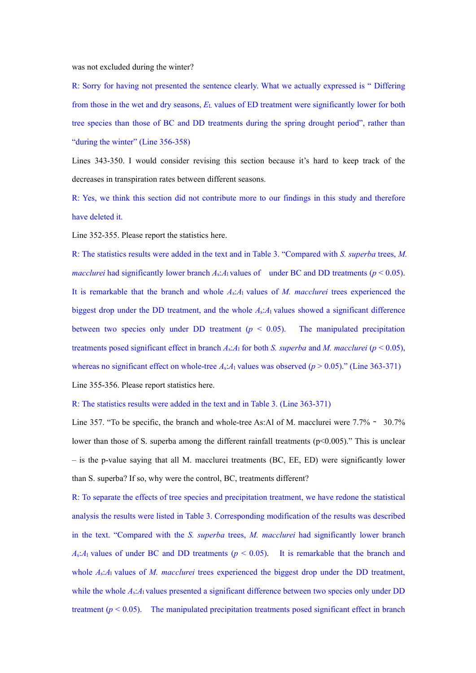was not excluded during the winter?

R: Sorry for having not presented the sentence clearly. What we actually expressed is " Differing from those in the wet and dry seasons, *E*<sup>L</sup> values ofED treatment were significantly lower for both tree species than those of BC and DD treatments during the spring drought period", rather than "during the winter" (Line 356-358)

Lines 343-350. I would consider revising this section because it's hard to keep track of the decreases in transpiration rates between different seasons.

R: Yes, we think this section did not contribute more to our findings in this study and therefore have deleted it.

Line 352-355. Please report the statistics here.

R: The statistics results were added in the text and in Table 3. "Compared with *S. superba* trees, *M.* macclurei had significantly lower branch  $A_s:A_1$  values of under BC and DD treatments ( $p < 0.05$ ).<br>It is remarkable that the branch and whole  $A_s:A_1$  values of M. macclurei trees experienced the biggest drop under the DD treatment, and the whole *A*s:*A*<sup>l</sup> values showed a significant difference between two species only under DD treatment  $(p < 0.05)$ . The manipulated precipitation treatments posed significant effect in branch  $A_s$ : $A_1$  for both *S. superba* and *M. macclurei* ( $p < 0.05$ ), whereas no significant effect on whole-tree  $A_s:A_1$  values was observed ( $p > 0.05$ )." (Line 363-371) Line 355-356. Please report statistics here.

#### R: The statistics results were added in the text and in Table 3. (Line 363-371)

Line 357. "To be specific, the branch and whole-tree As:Al of M. macclurei were 7.7% ∼ 30.7% lower than those of S. superba among the different rainfall treatments ( $p<0.005$ )." This is unclear – is the p-value saying that all M. macclurei treatments (BC, EE, ED) were significantly lower than S. superba? If so, why were the control, BC, treatments different?

R: To separate the effects of tree species and precipitation treatment, we have redone the statistical analysis the results were listed in Table 3. Corresponding modification of the results was described in the text. "Compared with the *S. superba* trees, *M. macclurei* had significantly lower branch  $A_s$ : $A_1$  values of under BC and DD treatments ( $p < 0.05$ ). It is remarkable that the branch and whole  $A_s$ : $A_1$  values of *M. macclurei* trees experienced the biggest drop under the DD treatment, while the whole  $A_s$ : $A_l$  values presented a significant difference between two species only under DD treatment ( $p < 0.05$ ). The manipulated precipitation treatments posed significant effect in branch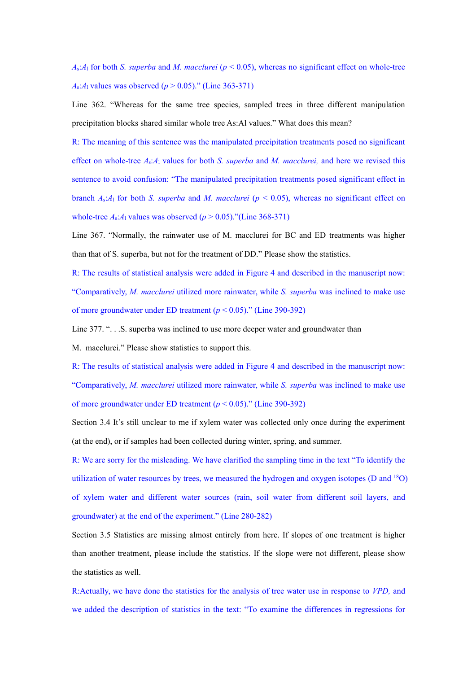*A*s:*A*<sup>l</sup> for both *S. superba* and *M. macclurei* (*p* < 0.05), whereas no significant effect on whole-tree *A*<sub>s</sub>:*A*<sub>1</sub> values was observed ( $p > 0.05$ )." (Line 363-371)

Line 362. "Whereas for the same tree species, sampled trees in three different manipulation precipitation blocks shared similar whole tree As:Al values." What does this mean?

R: The meaning of this sentence was the manipulated precipitation treatments posed no significant effect on whole-tree *A*s:*A*<sup>l</sup> values for both *S. superba* and *M. macclurei,* and here we revised this sentence to avoid confusion: "The manipulated precipitation treatments posed significant effect in branch  $A_s$ : $A_1$  for both *S. superba* and *M. macclurei* ( $p < 0.05$ ), whereas no significant effect on whole-tree  $A_s$ : $A_1$  values was observed ( $p > 0.05$ )."(Line 368-371)

Line 367. "Normally, the rainwater use of M. macclurei for BC and ED treatments was higher than that of S. superba, but not for the treatment of DD." Please show the statistics.

R: The results of statistical analysis were added in Figure 4 and described in the manuscript now: "Comparatively, *M. macclurei* utilized more rainwater, while *S. superba* was inclined to make use of more groundwater under ED treatment (*p* < 0.05)." (Line 390-392)

Line 377. ". . . S. superba was inclined to use more deeper water and groundwater than

M. macclurei." Please show statistics to support this.

R: The results of statistical analysis were added in Figure 4 and described in the manuscript now: "Comparatively, *M. macclurei* utilized more rainwater, while *S. superba* was inclined to make use of more groundwater under ED treatment (*p* < 0.05)." (Line 390-392)

Section 3.4 It's still unclear to me if xylem water was collected only once during the experiment (at the end), or if samples had been collected during winter, spring, and summer.

R: We are sorry for the misleading. We have clarified the sampling time in the text "To identify the utilization of water resources by trees, we measured the hydrogen and oxygen isotopes (D and <sup>18</sup>O) of xylem water and different water sources (rain, soil water from different soil layers, and groundwater) at the end of the experiment." (Line 280-282)

Section 3.5 Statistics are missing almost entirely from here. If slopes of one treatment is higher than another treatment, please include the statistics. If the slope were not different, please show the statistics as well.

R:Actually, we have done the statistics for the analysis of tree water use in response to *VPD,* and we added the description of statistics in the text: "To examine the differences in regressions for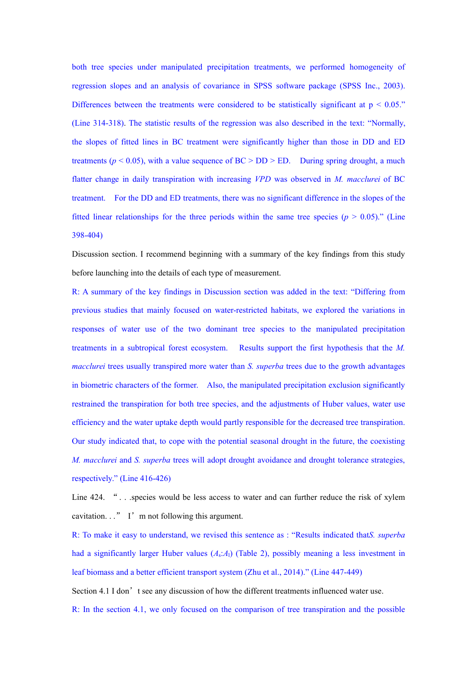both tree species under manipulated precipitation treatments, we performed homogeneity of regression slopes and an analysis of covariance in SPSS software package (SPSS Inc., 2003). Differences between the treatments were considered to be statistically significant at  $p < 0.05$ ." (Line 314-318). The statistic results of the regression was also described in the text: "Normally, the slopes of fitted lines in BC treatment were significantly higher than those in DD and ED treatments ( $p < 0.05$ ), with a value sequence of  $BC > DD > ED$ . During spring drought, a much flatter change in daily transpiration with increasing *VPD* was observed in *M. macclurei* of BC treatment. For the DD and ED treatments, there was no significant difference in the slopes of the fitted linear relationships for the three periods within the same tree species ( $p > 0.05$ )." (Line 398-404)

Discussion section. I recommend beginning with a summary of the key findings from this study before launching into the details of each type of measurement.

R: A summary of the key findings in Discussion section was added in the text: "Differing from previous studies that mainly focused on water-restricted habitats, we explored the variations in responses of water use of the two dominant tree species to the manipulated precipitation treatments in a subtropical forest ecosystem. Results support the first hypothesis that the *M. macclurei* trees usually transpired more water than *S. superba* trees due to the growth advantages in biometric characters of the former. Also, the manipulated precipitation exclusion significantly restrained the transpiration for both tree species, and the adjustments of Huber values, water use efficiency and the water uptake depth would partly responsible for the decreased tree transpiration. Our study indicated that, to cope with the potential seasonal drought in the future, the coexisting *M. macclurei* and *S. superba* trees will adopt drought avoidance and drought tolerance strategies, respectively." (Line 416-426)

Line 424. "... species would be less access to water and can further reduce the risk of xylem cavitation.  $\cdot$ ." I'm not following this argument.

R: To make it easy to understand, we revised this sentence as : "Results indicated that*S. superba* had a significantly larger Huber values (*A*s:*A*l) (Table 2), possibly meaning a less investment in leaf biomass and a better efficient transport system (Zhu et al., 2014)." (Line 447-449)

Section 4.1 I don't see any discussion of how the different treatments influenced water use.

R: In the section 4.1, we only focused on the comparison of tree transpiration and the possible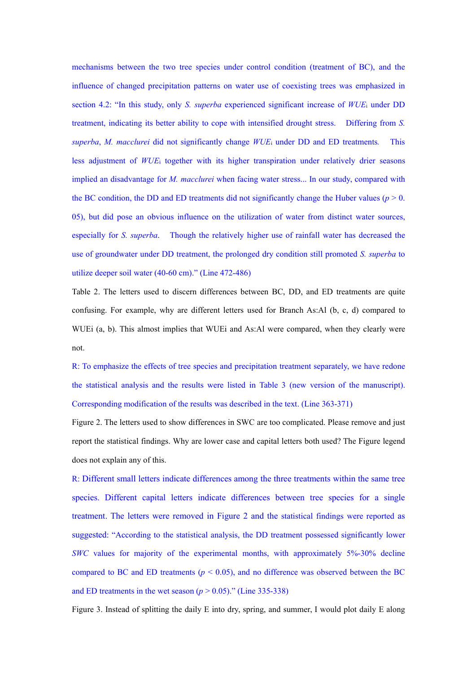mechanisms between the two tree species under control condition (treatment of BC), and the influence of changed precipitation patterns on water use of coexisting trees was emphasized in section 4.2: "In this study, only *S. superba* experienced significant increase of *WUE*<sup>i</sup> under DD treatment, indicating its better ability to cope with intensified drought stress. Differing from *S. superba*, *M. macclurei* did not significantly change *WUE*<sup>i</sup> under DD and ED treatments*.* This less adjustment of *WUE*<sub>i</sub> together with its higher transpiration under relatively drier seasons implied an disadvantage for *M. macclurei* when facing water stress... In our study, compared with the BC condition, the DD and ED treatments did not significantly change the Huber values ( $p > 0$ . 05), but did pose an obvious influence on the utilization of water from distinct water sources, especially for *S. superba*. Though the relatively higher use of rainfall water has decreased the use of groundwater under DD treatment, the prolonged dry condition still promoted *S. superba* to utilize deeper soil water (40-60 cm)." (Line 472-486)

Table 2. The letters used to discern differences between BC, DD, and ED treatments are quite confusing. For example, why are different letters used for Branch As:Al (b, c, d) compared to WUEi (a, b). This almost implies that WUEi and As:Al were compared, when they clearly were not.

R: To emphasize the effects of tree species and precipitation treatment separately, we have redone the statistical analysis and the results were listed in Table 3 (new version of the manuscript). Corresponding modification of the results was described in the text. (Line 363-371)

Figure 2. The letters used to show differences in SWC are too complicated. Please remove and just report the statistical findings. Why are lower case and capital letters both used? The Figure legend does not explain any of this.<br>R: Different small letters indicate differences among the three treatments within the same tree

species. Different capital letters indicate differences between tree species for a single treatment. The letters were removed in Figure 2 and the statistical findings were reported as suggested: "According to the statistical analysis, the DD treatment possessed significantly lower *SWC* values for majority of the experimental months, with approximately 5%-30% decline compared to BC and ED treatments ( $p < 0.05$ ), and no difference was observed between the BC and ED treatments in the wet season  $(p > 0.05)$ ." (Line 335-338)

Figure 3. Instead of splitting the daily E into dry, spring, and summer, I would plot daily E along